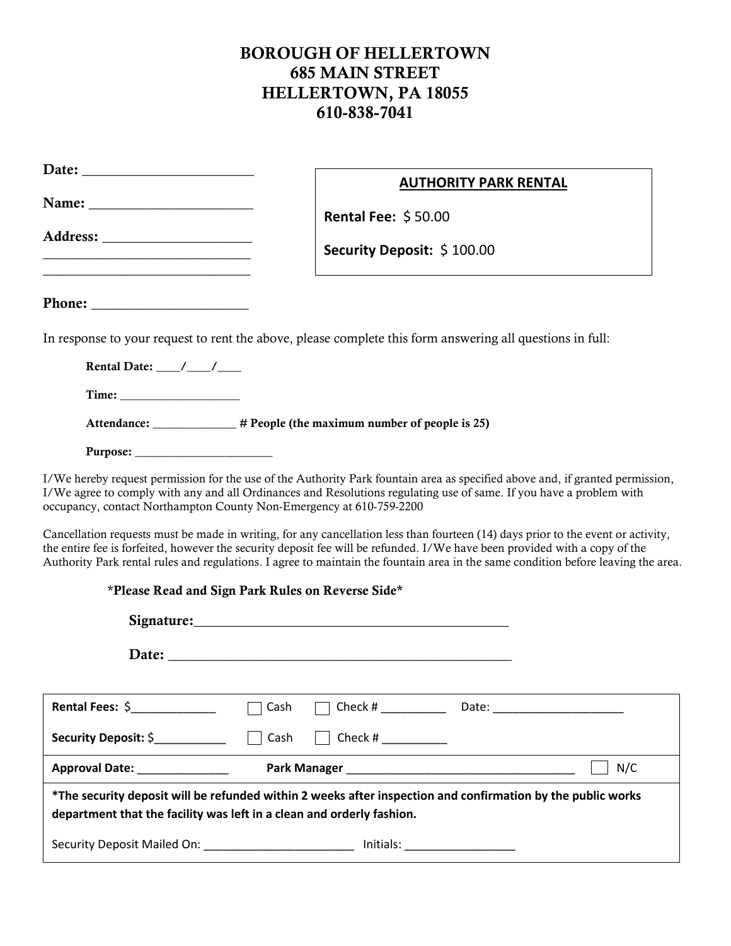## BOROUGH OF HELLERTOWN 685 MAIN STREET HELLERTOWN, PA 18055 610-838-7041

| Name: $\frac{1}{\sqrt{1-\frac{1}{2}}\sqrt{1-\frac{1}{2}}\left(\frac{1}{2}-\frac{1}{2}\right)}$                                                                                                                                |                                                                                                           | <b>AUTHORITY PARK RENTAL</b>                                                                                                                                                                                                                                                                                                                                                                                                                                                                                                                                                                                                                                |
|-------------------------------------------------------------------------------------------------------------------------------------------------------------------------------------------------------------------------------|-----------------------------------------------------------------------------------------------------------|-------------------------------------------------------------------------------------------------------------------------------------------------------------------------------------------------------------------------------------------------------------------------------------------------------------------------------------------------------------------------------------------------------------------------------------------------------------------------------------------------------------------------------------------------------------------------------------------------------------------------------------------------------------|
|                                                                                                                                                                                                                               | <b>Rental Fee: \$50.00</b>                                                                                |                                                                                                                                                                                                                                                                                                                                                                                                                                                                                                                                                                                                                                                             |
| the control of the control of the control of the control of the control of the control of the control of the control of the control of the control of the control of the control of the control of the control of the control | Security Deposit: \$100.00                                                                                |                                                                                                                                                                                                                                                                                                                                                                                                                                                                                                                                                                                                                                                             |
|                                                                                                                                                                                                                               |                                                                                                           |                                                                                                                                                                                                                                                                                                                                                                                                                                                                                                                                                                                                                                                             |
| Phone: $\qquad \qquad$                                                                                                                                                                                                        |                                                                                                           |                                                                                                                                                                                                                                                                                                                                                                                                                                                                                                                                                                                                                                                             |
|                                                                                                                                                                                                                               | In response to your request to rent the above, please complete this form answering all questions in full: |                                                                                                                                                                                                                                                                                                                                                                                                                                                                                                                                                                                                                                                             |
| Rental Date: $\frac{\ }{\ }$ / $\frac{\ }{\ }$                                                                                                                                                                                |                                                                                                           |                                                                                                                                                                                                                                                                                                                                                                                                                                                                                                                                                                                                                                                             |
|                                                                                                                                                                                                                               |                                                                                                           |                                                                                                                                                                                                                                                                                                                                                                                                                                                                                                                                                                                                                                                             |
|                                                                                                                                                                                                                               | Attendance: ______________ # People (the maximum number of people is 25)                                  |                                                                                                                                                                                                                                                                                                                                                                                                                                                                                                                                                                                                                                                             |
|                                                                                                                                                                                                                               |                                                                                                           |                                                                                                                                                                                                                                                                                                                                                                                                                                                                                                                                                                                                                                                             |
|                                                                                                                                                                                                                               | occupancy, contact Northampton County Non-Emergency at 610-759-2200                                       | I/We hereby request permission for the use of the Authority Park fountain area as specified above and, if granted permission,<br>I/We agree to comply with any and all Ordinances and Resolutions regulating use of same. If you have a problem with<br>Cancellation requests must be made in writing, for any cancellation less than fourteen (14) days prior to the event or activity,<br>the entire fee is forfeited, however the security deposit fee will be refunded. I/We have been provided with a copy of the<br>Authority Park rental rules and regulations. I agree to maintain the fountain area in the same condition before leaving the area. |
|                                                                                                                                                                                                                               | *Please Read and Sign Park Rules on Reverse Side*                                                         |                                                                                                                                                                                                                                                                                                                                                                                                                                                                                                                                                                                                                                                             |
|                                                                                                                                                                                                                               | Signature: Signature:                                                                                     |                                                                                                                                                                                                                                                                                                                                                                                                                                                                                                                                                                                                                                                             |
|                                                                                                                                                                                                                               |                                                                                                           |                                                                                                                                                                                                                                                                                                                                                                                                                                                                                                                                                                                                                                                             |
| Rental Fees: \$                                                                                                                                                                                                               | Cash                                                                                                      |                                                                                                                                                                                                                                                                                                                                                                                                                                                                                                                                                                                                                                                             |
| <b>Security Deposit: \$</b>                                                                                                                                                                                                   | Cash<br>Check # $\frac{1}{2}$                                                                             |                                                                                                                                                                                                                                                                                                                                                                                                                                                                                                                                                                                                                                                             |
| Approval Date: ______________                                                                                                                                                                                                 |                                                                                                           | N/C                                                                                                                                                                                                                                                                                                                                                                                                                                                                                                                                                                                                                                                         |
|                                                                                                                                                                                                                               | department that the facility was left in a clean and orderly fashion.                                     | *The security deposit will be refunded within 2 weeks after inspection and confirmation by the public works                                                                                                                                                                                                                                                                                                                                                                                                                                                                                                                                                 |
|                                                                                                                                                                                                                               | Security Deposit Mailed On: __________________________ Initials: _______________                          |                                                                                                                                                                                                                                                                                                                                                                                                                                                                                                                                                                                                                                                             |